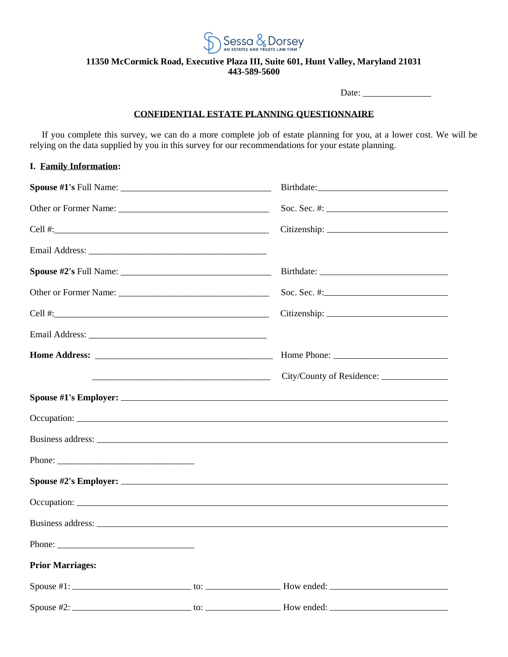

### **11350 McCormick Road, Executive Plaza III, Suite 601, Hunt Valley, Maryland 21031 443-589-5600**

Date: \_\_\_\_\_\_\_\_\_\_\_\_\_\_\_

### **CONFIDENTIAL ESTATE PLANNING QUESTIONNAIRE**

If you complete this survey, we can do a more complete job of estate planning for you, at a lower cost. We will be relying on the data supplied by you in this survey for our recommendations for your estate planning.

## **I. Family Information:**

|                         |                                                          | Soc. Sec. #: $\frac{1}{2}$ = $\frac{1}{2}$ = $\frac{1}{2}$ = $\frac{1}{2}$ = $\frac{1}{2}$ = $\frac{1}{2}$ = $\frac{1}{2}$ = $\frac{1}{2}$ = $\frac{1}{2}$ = $\frac{1}{2}$ = $\frac{1}{2}$ = $\frac{1}{2}$ = $\frac{1}{2}$ = $\frac{1}{2}$ = $\frac{1}{2}$ = $\frac{1}{2}$ = $\frac{1}{2}$ = $\frac{$ |
|-------------------------|----------------------------------------------------------|-------------------------------------------------------------------------------------------------------------------------------------------------------------------------------------------------------------------------------------------------------------------------------------------------------|
|                         |                                                          |                                                                                                                                                                                                                                                                                                       |
|                         |                                                          |                                                                                                                                                                                                                                                                                                       |
|                         |                                                          |                                                                                                                                                                                                                                                                                                       |
|                         |                                                          | Soc. Sec. #: $\qquad \qquad$                                                                                                                                                                                                                                                                          |
|                         |                                                          | Citizenship: 2000                                                                                                                                                                                                                                                                                     |
|                         |                                                          |                                                                                                                                                                                                                                                                                                       |
|                         |                                                          |                                                                                                                                                                                                                                                                                                       |
|                         | <u> 1980 - Johann Barbara, martxa amerikan bashkar (</u> |                                                                                                                                                                                                                                                                                                       |
|                         |                                                          |                                                                                                                                                                                                                                                                                                       |
|                         |                                                          |                                                                                                                                                                                                                                                                                                       |
|                         |                                                          | Business address: The contract of the contract of the contract of the contract of the contract of the contract of the contract of the contract of the contract of the contract of the contract of the contract of the contract                                                                        |
|                         |                                                          |                                                                                                                                                                                                                                                                                                       |
|                         |                                                          |                                                                                                                                                                                                                                                                                                       |
|                         |                                                          |                                                                                                                                                                                                                                                                                                       |
|                         |                                                          | Business address: Note that the same state of the state of the state of the state of the state of the state of the state of the state of the state of the state of the state of the state of the state of the state of the sta                                                                        |
| Phone: $\frac{1}{1}$    |                                                          |                                                                                                                                                                                                                                                                                                       |
| <b>Prior Marriages:</b> |                                                          |                                                                                                                                                                                                                                                                                                       |
|                         |                                                          | $\text{Spouse } \#1:$ $\qquad \qquad \text{to:}$ $\qquad \qquad$ $\qquad \text{to:}$ $\qquad \qquad \text{How ended:}$                                                                                                                                                                                |
|                         |                                                          | $\text{Spouse } \#2:$ $\qquad \qquad \text{to:}$ $\qquad \qquad$ $\qquad \text{How ended:}$                                                                                                                                                                                                           |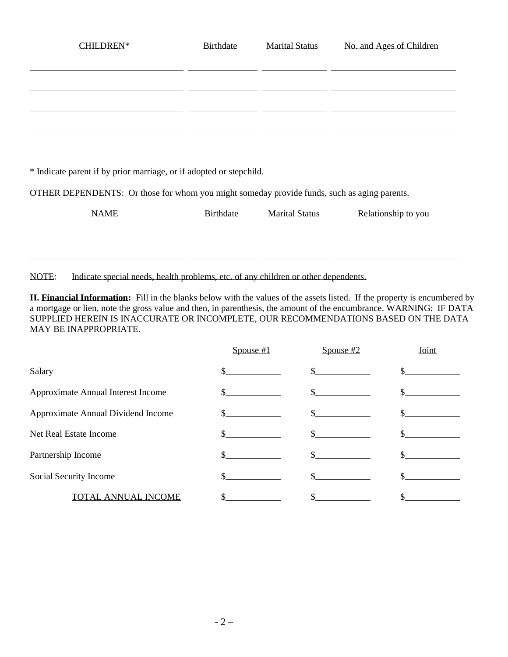| <b>CHILDREN*</b>                                                                                   | Birthdate | <b>Marital Status</b> | No. and Ages of Children |  |  |  |
|----------------------------------------------------------------------------------------------------|-----------|-----------------------|--------------------------|--|--|--|
|                                                                                                    |           |                       |                          |  |  |  |
|                                                                                                    |           |                       |                          |  |  |  |
|                                                                                                    |           |                       |                          |  |  |  |
|                                                                                                    |           |                       |                          |  |  |  |
|                                                                                                    |           |                       |                          |  |  |  |
|                                                                                                    |           |                       |                          |  |  |  |
|                                                                                                    |           |                       |                          |  |  |  |
| * Indicate parent if by prior marriage, or if adopted or stepchild.                                |           |                       |                          |  |  |  |
| <b>OTHER DEPENDENTS:</b> Or those for whom you might someday provide funds, such as aging parents. |           |                       |                          |  |  |  |
| <b>NAME</b>                                                                                        | Birthdate | <b>Marital Status</b> | Relationship to you      |  |  |  |
|                                                                                                    |           |                       |                          |  |  |  |
|                                                                                                    |           |                       |                          |  |  |  |
|                                                                                                    |           |                       |                          |  |  |  |

NOTE: Indicate special needs, health problems, etc. of any children or other dependents.

**II. Financial Information:** Fill in the blanks below with the values of the assets listed. If the property is encumbered by a mortgage or lien, note the gross value and then, in parenthesis, the amount of the encumbrance. WARNING: IF DATA SUPPLIED HEREIN IS INACCURATE OR INCOMPLETE, OUR RECOMMENDATIONS BASED ON THE DATA MAY BE INAPPROPRIATE.

|                                    | Spouse $#1$ | Spouse $#2$ | Joint |
|------------------------------------|-------------|-------------|-------|
| Salary                             |             |             |       |
| Approximate Annual Interest Income |             |             |       |
| Approximate Annual Dividend Income |             |             |       |
| Net Real Estate Income             |             |             |       |
| Partnership Income                 |             |             |       |
| Social Security Income             |             |             |       |
| TO'<br>TAL ANNUAL INCOME           |             |             |       |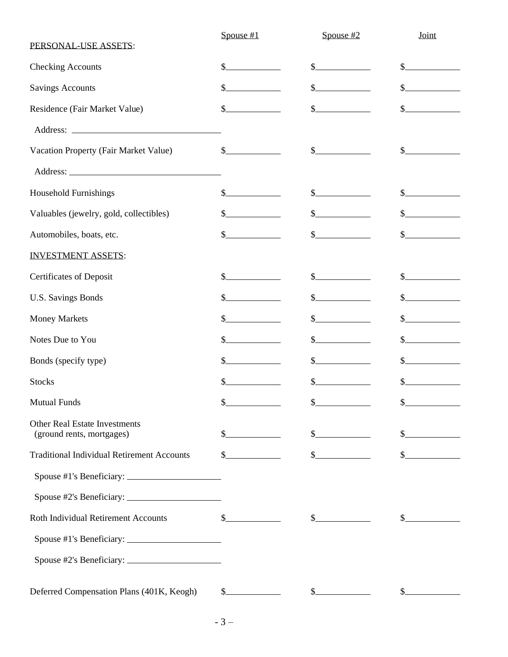| PERSONAL-USE ASSETS:                                              | Spouse $#1$                                                                                                                                                                                                                                                                                                                                                                  | Spouse $#2$                                                                                                                                            | Joint                                              |
|-------------------------------------------------------------------|------------------------------------------------------------------------------------------------------------------------------------------------------------------------------------------------------------------------------------------------------------------------------------------------------------------------------------------------------------------------------|--------------------------------------------------------------------------------------------------------------------------------------------------------|----------------------------------------------------|
| <b>Checking Accounts</b>                                          | S                                                                                                                                                                                                                                                                                                                                                                            | $S_{-}$                                                                                                                                                | $\mathbb{S}$                                       |
| <b>Savings Accounts</b>                                           | S.                                                                                                                                                                                                                                                                                                                                                                           | \$                                                                                                                                                     | $\mathcal{S}_{-}$                                  |
| Residence (Fair Market Value)                                     |                                                                                                                                                                                                                                                                                                                                                                              |                                                                                                                                                        | $\mathbb{S}$                                       |
|                                                                   |                                                                                                                                                                                                                                                                                                                                                                              |                                                                                                                                                        |                                                    |
| Vacation Property (Fair Market Value)                             | $\frac{\S_{\frac{1}{2}}}{\S_{\frac{1}{2}}}{\S_{\frac{1}{2}}}{\S_{\frac{1}{2}}}{\S_{\frac{1}{2}}}{\S_{\frac{1}{2}}}{\S_{\frac{1}{2}}}{\S_{\frac{1}{2}}}{\S_{\frac{1}{2}}}{\S_{\frac{1}{2}}}{\S_{\frac{1}{2}}}{\S_{\frac{1}{2}}}{\S_{\frac{1}{2}}}{\S_{\frac{1}{2}}}{\S_{\frac{1}{2}}}{\S_{\frac{1}{2}}}{\S_{\frac{1}{2}}}{\S_{\frac{1}{2}}}{\S_{\frac{1}{2}}}{\S_{\frac{1}{2$ | $\frac{1}{2}$                                                                                                                                          | $\frac{\text{S}}{\text{S}}$                        |
|                                                                   |                                                                                                                                                                                                                                                                                                                                                                              |                                                                                                                                                        |                                                    |
| <b>Household Furnishings</b>                                      | $S_{-}$                                                                                                                                                                                                                                                                                                                                                                      |                                                                                                                                                        | $S_{-}$                                            |
| Valuables (jewelry, gold, collectibles)                           |                                                                                                                                                                                                                                                                                                                                                                              |                                                                                                                                                        | $\mathbb{S}^-$                                     |
| Automobiles, boats, etc.                                          | $\frac{1}{2}$                                                                                                                                                                                                                                                                                                                                                                |                                                                                                                                                        | \$                                                 |
| <b>INVESTMENT ASSETS:</b>                                         |                                                                                                                                                                                                                                                                                                                                                                              |                                                                                                                                                        |                                                    |
| Certificates of Deposit                                           | \$.                                                                                                                                                                                                                                                                                                                                                                          | $\frac{1}{2}$                                                                                                                                          | $S_{-}$                                            |
| <b>U.S. Savings Bonds</b>                                         |                                                                                                                                                                                                                                                                                                                                                                              | \$                                                                                                                                                     | $\mathbb{S}$                                       |
| <b>Money Markets</b>                                              |                                                                                                                                                                                                                                                                                                                                                                              |                                                                                                                                                        | $S_{-}$                                            |
| Notes Due to You                                                  |                                                                                                                                                                                                                                                                                                                                                                              |                                                                                                                                                        |                                                    |
| Bonds (specify type)                                              |                                                                                                                                                                                                                                                                                                                                                                              | $\label{eq:2} \begin{split} \mathcal{L}_{\text{max}}(\mathcal{L}_{\text{max}}) = \mathcal{L}_{\text{max}}(\mathcal{L}_{\text{max}}) \end{split}$<br>\$ | <u> 1999 - Jan Barton, p</u><br>$S_{-}$            |
| <b>Stocks</b>                                                     | \$                                                                                                                                                                                                                                                                                                                                                                           | S                                                                                                                                                      | \$                                                 |
| <b>Mutual Funds</b>                                               | \$                                                                                                                                                                                                                                                                                                                                                                           | $\mathcal{S}_{-}$                                                                                                                                      | $\mathcal{S}_{-}$                                  |
| <b>Other Real Estate Investments</b><br>(ground rents, mortgages) | \$.                                                                                                                                                                                                                                                                                                                                                                          |                                                                                                                                                        |                                                    |
| <b>Traditional Individual Retirement Accounts</b>                 | \$                                                                                                                                                                                                                                                                                                                                                                           |                                                                                                                                                        | $\mathcal{L}_{-}$<br><u> 1999 - Jan Barnett, p</u> |
|                                                                   |                                                                                                                                                                                                                                                                                                                                                                              |                                                                                                                                                        |                                                    |
|                                                                   |                                                                                                                                                                                                                                                                                                                                                                              |                                                                                                                                                        |                                                    |
| Roth Individual Retirement Accounts                               | $S_{-}$                                                                                                                                                                                                                                                                                                                                                                      | $\frac{\text{S}}{\text{S}}$                                                                                                                            | $\mathcal{S}_{-}$                                  |
|                                                                   |                                                                                                                                                                                                                                                                                                                                                                              |                                                                                                                                                        |                                                    |
|                                                                   |                                                                                                                                                                                                                                                                                                                                                                              |                                                                                                                                                        |                                                    |
| Deferred Compensation Plans (401K, Keogh)                         | $\frac{1}{2}$                                                                                                                                                                                                                                                                                                                                                                | $\frac{\sqrt{2}}{2}$                                                                                                                                   |                                                    |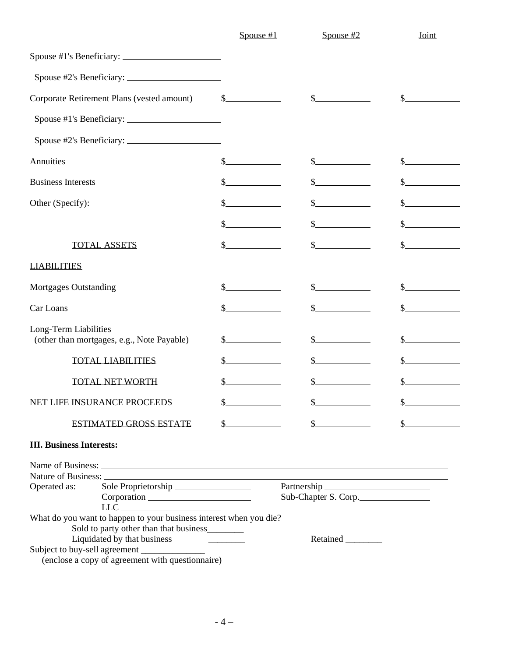|                                                                                              | Spouse $#1$                                                                                                                                                                                                                                                                                                                                                                  | Spouse $#2$                            | Joint         |  |
|----------------------------------------------------------------------------------------------|------------------------------------------------------------------------------------------------------------------------------------------------------------------------------------------------------------------------------------------------------------------------------------------------------------------------------------------------------------------------------|----------------------------------------|---------------|--|
|                                                                                              |                                                                                                                                                                                                                                                                                                                                                                              |                                        |               |  |
|                                                                                              |                                                                                                                                                                                                                                                                                                                                                                              |                                        |               |  |
| Corporate Retirement Plans (vested amount)                                                   | $\frac{\S_{\frac{1}{2}}}{\S_{\frac{1}{2}}}{\S_{\frac{1}{2}}}{\S_{\frac{1}{2}}}{\S_{\frac{1}{2}}}{\S_{\frac{1}{2}}}{\S_{\frac{1}{2}}}{\S_{\frac{1}{2}}}{\S_{\frac{1}{2}}}{\S_{\frac{1}{2}}}{\S_{\frac{1}{2}}}{\S_{\frac{1}{2}}}{\S_{\frac{1}{2}}}{\S_{\frac{1}{2}}}{\S_{\frac{1}{2}}}{\S_{\frac{1}{2}}}{\S_{\frac{1}{2}}}{\S_{\frac{1}{2}}}{\S_{\frac{1}{2}}}{\S_{\frac{1}{2$ | $\mathbb{S}^-$                         |               |  |
|                                                                                              |                                                                                                                                                                                                                                                                                                                                                                              |                                        |               |  |
|                                                                                              |                                                                                                                                                                                                                                                                                                                                                                              |                                        |               |  |
| Annuities                                                                                    |                                                                                                                                                                                                                                                                                                                                                                              |                                        |               |  |
| <b>Business Interests</b>                                                                    |                                                                                                                                                                                                                                                                                                                                                                              |                                        |               |  |
| Other (Specify):                                                                             |                                                                                                                                                                                                                                                                                                                                                                              |                                        |               |  |
|                                                                                              |                                                                                                                                                                                                                                                                                                                                                                              |                                        |               |  |
| <b>TOTAL ASSETS</b>                                                                          |                                                                                                                                                                                                                                                                                                                                                                              |                                        |               |  |
| <b>LIABILITIES</b>                                                                           |                                                                                                                                                                                                                                                                                                                                                                              |                                        |               |  |
| <b>Mortgages Outstanding</b>                                                                 |                                                                                                                                                                                                                                                                                                                                                                              |                                        |               |  |
| Car Loans                                                                                    |                                                                                                                                                                                                                                                                                                                                                                              |                                        |               |  |
| Long-Term Liabilities<br>(other than mortgages, e.g., Note Payable)                          |                                                                                                                                                                                                                                                                                                                                                                              |                                        | S.            |  |
| <b>TOTAL LIABILITIES</b>                                                                     |                                                                                                                                                                                                                                                                                                                                                                              |                                        |               |  |
| <b>TOTAL NET WORTH</b>                                                                       |                                                                                                                                                                                                                                                                                                                                                                              |                                        |               |  |
| NET LIFE INSURANCE PROCEEDS                                                                  | $\overline{\mathbb{S}}$                                                                                                                                                                                                                                                                                                                                                      | \$                                     | ሖ             |  |
| <b>ESTIMATED GROSS ESTATE</b>                                                                | $\mathbb{S}^-$<br><u> 1990 - Jan Barnett, politik e</u>                                                                                                                                                                                                                                                                                                                      | S<br><u>and the state of the state</u> | $\frac{1}{2}$ |  |
| <b>III. Business Interests:</b>                                                              |                                                                                                                                                                                                                                                                                                                                                                              |                                        |               |  |
| Name of Business: Name of Business:                                                          |                                                                                                                                                                                                                                                                                                                                                                              |                                        |               |  |
|                                                                                              |                                                                                                                                                                                                                                                                                                                                                                              |                                        |               |  |
| Operated as:<br>Sole Proprietorship<br>Corporation<br>$\begin{tabular}{c} LLC \end{tabular}$ | Sub-Chapter S. Corp.                                                                                                                                                                                                                                                                                                                                                         |                                        |               |  |
| What do you want to happen to your business interest when you die?                           |                                                                                                                                                                                                                                                                                                                                                                              |                                        |               |  |
| Sold to party other than that business                                                       |                                                                                                                                                                                                                                                                                                                                                                              |                                        |               |  |
| Liquidated by that business                                                                  |                                                                                                                                                                                                                                                                                                                                                                              | Retained ________                      |               |  |
|                                                                                              |                                                                                                                                                                                                                                                                                                                                                                              |                                        |               |  |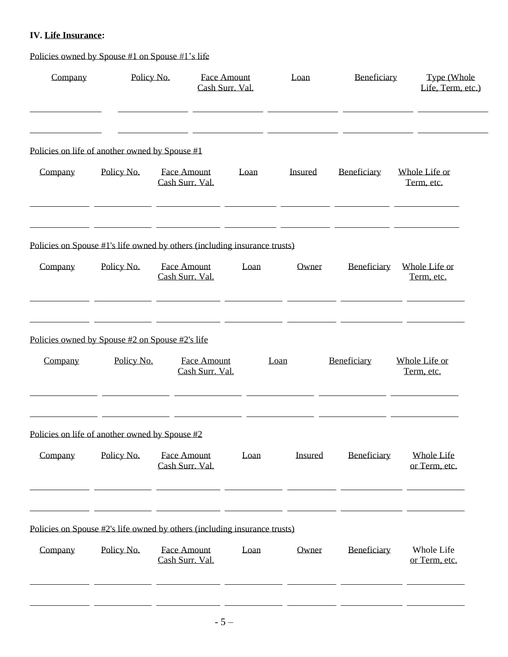## **IV. Life Insurance:**

Policies owned by Spouse #1 on Spouse #1's life

| Company | Policy No.                                      | <b>Face Amount</b><br>Cash Surr. Val.                                     |      | Loan    | Beneficiary | Type (Whole<br>Life, Term, etc.)   |
|---------|-------------------------------------------------|---------------------------------------------------------------------------|------|---------|-------------|------------------------------------|
|         | Policies on life of another owned by Spouse #1  |                                                                           |      |         |             |                                    |
| Company | Policy No.                                      | <b>Face Amount</b><br>Cash Surr. Val.                                     | Loan | Insured | Beneficiary | Whole Life or<br>Term, etc.        |
|         |                                                 | Policies on Spouse #1's life owned by others (including insurance trusts) |      |         |             |                                    |
| Company | Policy No.                                      | <b>Face Amount</b><br>Cash Surr, Val.                                     | Loan | Owner   | Beneficiary | Whole Life or<br>Term, etc.        |
|         | Policies owned by Spouse #2 on Spouse #2's life |                                                                           |      |         |             |                                    |
| Company | Policy No.                                      | <b>Face Amount</b><br>Cash Surr. Val.                                     |      | Loan    | Beneficiary | Whole Life or<br>Term, etc.        |
|         | Policies on life of another owned by Spouse #2  |                                                                           |      |         |             |                                    |
| Company | Policy No.                                      | <b>Face Amount</b><br>Cash Surr. Val.                                     | Loan | Insured | Beneficiary | <b>Whole Life</b><br>or Term, etc. |
|         |                                                 | Policies on Spouse #2's life owned by others (including insurance trusts) |      |         |             |                                    |
| Company | Policy No.                                      | <b>Face Amount</b><br>Cash Surr, Val.                                     | Loan | Owner   | Beneficiary | Whole Life<br>or Term, etc.        |
|         |                                                 |                                                                           |      |         |             |                                    |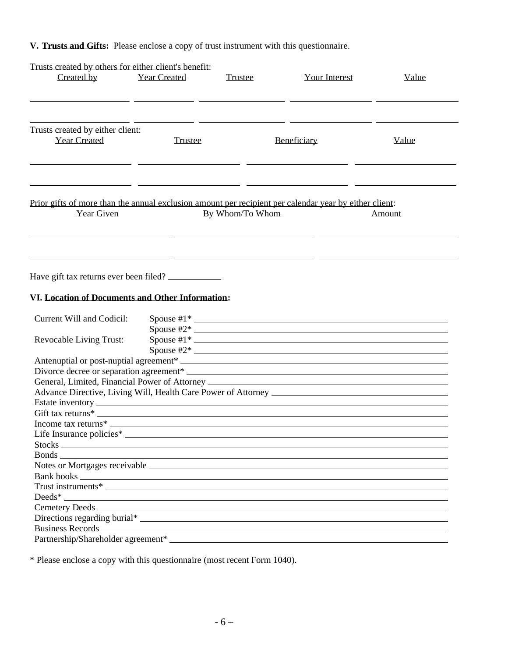# **V. Trusts and Gifts:** Please enclose a copy of trust instrument with this questionnaire.

| Trusts created by others for either client's benefit:                                                                                                                                                                                |                     |                 |                      |        |
|--------------------------------------------------------------------------------------------------------------------------------------------------------------------------------------------------------------------------------------|---------------------|-----------------|----------------------|--------|
| Created by                                                                                                                                                                                                                           | <b>Year Created</b> | <b>Trustee</b>  | <b>Your Interest</b> | Value  |
|                                                                                                                                                                                                                                      |                     |                 |                      |        |
| Trusts created by either client:                                                                                                                                                                                                     |                     |                 |                      |        |
| <b>Year Created</b>                                                                                                                                                                                                                  | <b>Trustee</b>      |                 | Beneficiary          | Value  |
| Prior gifts of more than the annual exclusion amount per recipient per calendar year by either client:                                                                                                                               |                     |                 |                      |        |
| Year Given                                                                                                                                                                                                                           |                     | By Whom/To Whom |                      | Amount |
| Have gift tax returns ever been filed?                                                                                                                                                                                               |                     |                 |                      |        |
| VI. Location of Documents and Other Information:                                                                                                                                                                                     |                     |                 |                      |        |
| Current Will and Codicil:                                                                                                                                                                                                            |                     |                 |                      |        |
| Revocable Living Trust:                                                                                                                                                                                                              |                     |                 |                      |        |
|                                                                                                                                                                                                                                      |                     |                 |                      |        |
|                                                                                                                                                                                                                                      |                     |                 |                      |        |
| General, Limited, Financial Power of Attorney ___________________________________                                                                                                                                                    |                     |                 |                      |        |
|                                                                                                                                                                                                                                      |                     |                 |                      |        |
|                                                                                                                                                                                                                                      |                     |                 |                      |        |
| Gift tax returns*                                                                                                                                                                                                                    |                     |                 |                      |        |
|                                                                                                                                                                                                                                      |                     |                 |                      |        |
|                                                                                                                                                                                                                                      |                     |                 |                      |        |
|                                                                                                                                                                                                                                      |                     |                 |                      |        |
|                                                                                                                                                                                                                                      |                     |                 |                      |        |
|                                                                                                                                                                                                                                      |                     |                 |                      |        |
|                                                                                                                                                                                                                                      |                     |                 |                      |        |
| Deeds <sup>*</sup>                                                                                                                                                                                                                   |                     |                 |                      |        |
|                                                                                                                                                                                                                                      |                     |                 |                      |        |
|                                                                                                                                                                                                                                      |                     |                 |                      |        |
| Business Records <u>and the community of the contract of the contract of the contract of the contract of the contract of the contract of the contract of the contract of the contract of the contract of the contract of the con</u> |                     |                 |                      |        |
|                                                                                                                                                                                                                                      |                     |                 |                      |        |
|                                                                                                                                                                                                                                      |                     |                 |                      |        |

\* Please enclose a copy with this questionnaire (most recent Form 1040).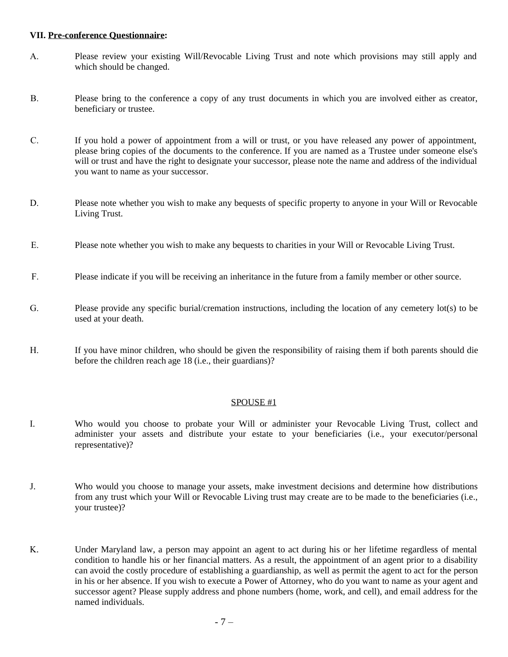### **VII. Pre-conference Questionnaire:**

- A. Please review your existing Will/Revocable Living Trust and note which provisions may still apply and which should be changed.
- B. Please bring to the conference a copy of any trust documents in which you are involved either as creator, beneficiary or trustee.
- C. If you hold a power of appointment from a will or trust, or you have released any power of appointment, please bring copies of the documents to the conference. If you are named as a Trustee under someone else's will or trust and have the right to designate your successor, please note the name and address of the individual you want to name as your successor.
- D. Please note whether you wish to make any bequests of specific property to anyone in your Will or Revocable Living Trust.
- E. Please note whether you wish to make any bequests to charities in your Will or Revocable Living Trust.
- F. Please indicate if you will be receiving an inheritance in the future from a family member or other source.
- G. Please provide any specific burial/cremation instructions, including the location of any cemetery lot(s) to be used at your death.
- H. If you have minor children, who should be given the responsibility of raising them if both parents should die before the children reach age 18 (i.e., their guardians)?

### SPOUSE #1

- I. Who would you choose to probate your Will or administer your Revocable Living Trust, collect and administer your assets and distribute your estate to your beneficiaries (i.e., your executor/personal representative)?
- J. Who would you choose to manage your assets, make investment decisions and determine how distributions from any trust which your Will or Revocable Living trust may create are to be made to the beneficiaries (i.e., your trustee)?
- K. Under Maryland law, a person may appoint an agent to act during his or her lifetime regardless of mental condition to handle his or her financial matters. As a result, the appointment of an agent prior to a disability can avoid the costly procedure of establishing a guardianship, as well as permit the agent to act for the person in his or her absence. If you wish to execute a Power of Attorney, who do you want to name as your agent and successor agent? Please supply address and phone numbers (home, work, and cell), and email address for the named individuals.